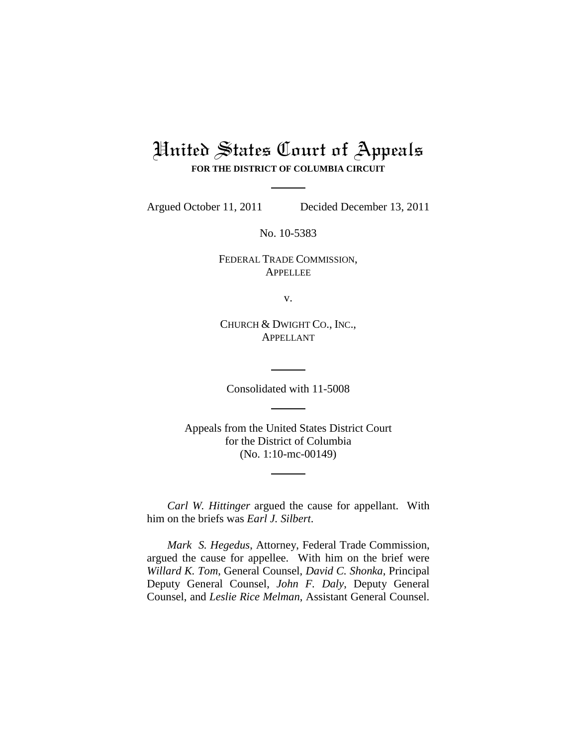# United States Court of Appeals **FOR THE DISTRICT OF COLUMBIA CIRCUIT**

Argued October 11, 2011 Decided December 13, 2011

No. 10-5383

FEDERAL TRADE COMMISSION, APPELLEE

v.

CHURCH & DWIGHT CO., INC., APPELLANT

Consolidated with 11-5008

Appeals from the United States District Court for the District of Columbia (No. 1:10-mc-00149)

*Carl W. Hittinger* argued the cause for appellant. With him on the briefs was *Earl J. Silbert*.

*Mark S. Hegedus*, Attorney, Federal Trade Commission, argued the cause for appellee. With him on the brief were *Willard K. Tom*, General Counsel, *David C. Shonka*, Principal Deputy General Counsel, *John F. Daly*, Deputy General Counsel, and *Leslie Rice Melman*, Assistant General Counsel.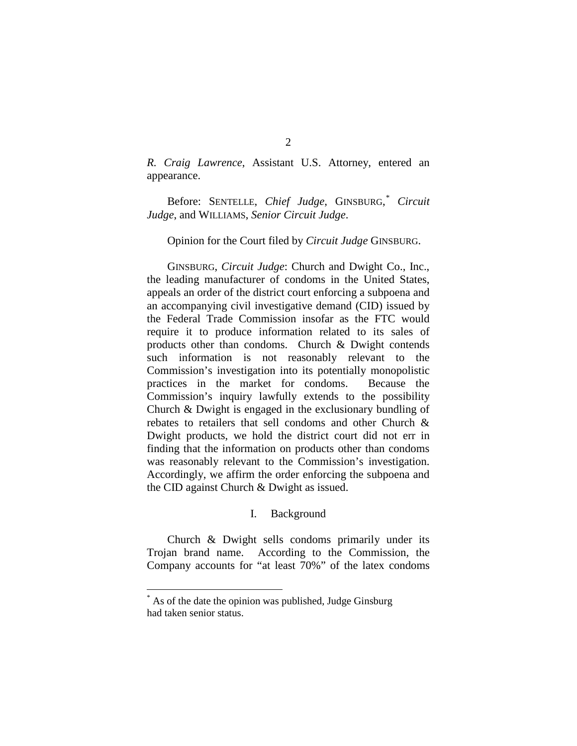*R. Craig Lawrence*, Assistant U.S. Attorney, entered an appearance.

Before: SENTELLE, *Chief Judge*, GINSBURG, [\\*](#page-1-0) *Circuit Judge*, and WILLIAMS, *Senior Circuit Judge*.

#### Opinion for the Court filed by *Circuit Judge* GINSBURG.

GINSBURG, *Circuit Judge*: Church and Dwight Co., Inc., the leading manufacturer of condoms in the United States, appeals an order of the district court enforcing a subpoena and an accompanying civil investigative demand (CID) issued by the Federal Trade Commission insofar as the FTC would require it to produce information related to its sales of products other than condoms. Church & Dwight contends such information is not reasonably relevant to the Commission's investigation into its potentially monopolistic practices in the market for condoms. Because the Commission's inquiry lawfully extends to the possibility Church & Dwight is engaged in the exclusionary bundling of rebates to retailers that sell condoms and other Church & Dwight products, we hold the district court did not err in finding that the information on products other than condoms was reasonably relevant to the Commission's investigation. Accordingly, we affirm the order enforcing the subpoena and the CID against Church & Dwight as issued.

#### I. Background

Church & Dwight sells condoms primarily under its Trojan brand name. According to the Commission, the Company accounts for "at least 70%" of the latex condoms

<span id="page-1-0"></span> <sup>\*</sup> As of the date the opinion was published, Judge Ginsburg had taken senior status.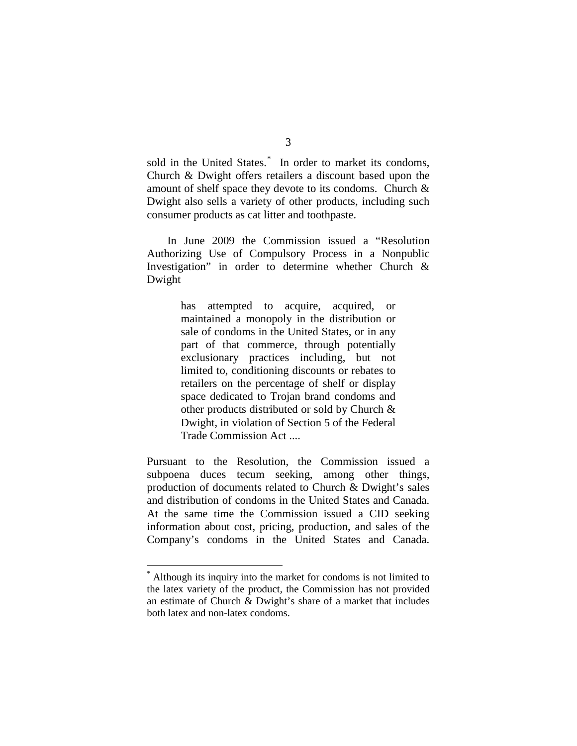sold in the United States.<sup>[\\*](#page-2-0)</sup> In order to market its condoms, Church & Dwight offers retailers a discount based upon the amount of shelf space they devote to its condoms. Church & Dwight also sells a variety of other products, including such consumer products as cat litter and toothpaste.

In June 2009 the Commission issued a "Resolution Authorizing Use of Compulsory Process in a Nonpublic Investigation" in order to determine whether Church & Dwight

> has attempted to acquire, acquired, or maintained a monopoly in the distribution or sale of condoms in the United States, or in any part of that commerce, through potentially exclusionary practices including, but not limited to, conditioning discounts or rebates to retailers on the percentage of shelf or display space dedicated to Trojan brand condoms and other products distributed or sold by Church & Dwight, in violation of Section 5 of the Federal Trade Commission Act ....

Pursuant to the Resolution, the Commission issued a subpoena duces tecum seeking, among other things, production of documents related to Church & Dwight's sales and distribution of condoms in the United States and Canada. At the same time the Commission issued a CID seeking information about cost, pricing, production, and sales of the Company's condoms in the United States and Canada.

<span id="page-2-0"></span> <sup>\*</sup> Although its inquiry into the market for condoms is not limited to the latex variety of the product, the Commission has not provided an estimate of Church & Dwight's share of a market that includes both latex and non-latex condoms.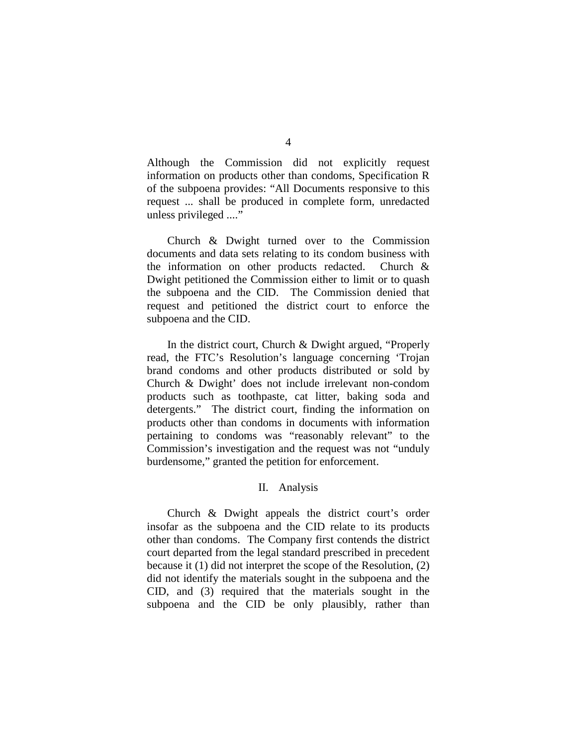Although the Commission did not explicitly request information on products other than condoms, Specification R of the subpoena provides: "All Documents responsive to this request ... shall be produced in complete form, unredacted unless privileged ...."

Church & Dwight turned over to the Commission documents and data sets relating to its condom business with the information on other products redacted. Church & Dwight petitioned the Commission either to limit or to quash the subpoena and the CID. The Commission denied that request and petitioned the district court to enforce the subpoena and the CID.

In the district court, Church & Dwight argued, "Properly read, the FTC's Resolution's language concerning 'Trojan brand condoms and other products distributed or sold by Church & Dwight' does not include irrelevant non-condom products such as toothpaste, cat litter, baking soda and detergents." The district court, finding the information on products other than condoms in documents with information pertaining to condoms was "reasonably relevant" to the Commission's investigation and the request was not "unduly burdensome," granted the petition for enforcement.

# II. Analysis

Church & Dwight appeals the district court's order insofar as the subpoena and the CID relate to its products other than condoms. The Company first contends the district court departed from the legal standard prescribed in precedent because it (1) did not interpret the scope of the Resolution, (2) did not identify the materials sought in the subpoena and the CID, and (3) required that the materials sought in the subpoena and the CID be only plausibly, rather than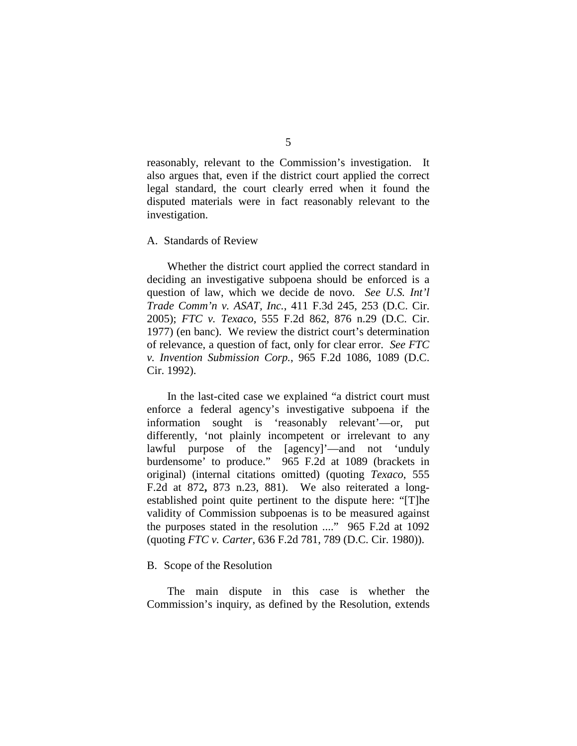reasonably, relevant to the Commission's investigation. It also argues that, even if the district court applied the correct legal standard, the court clearly erred when it found the disputed materials were in fact reasonably relevant to the investigation.

A. Standards of Review

Whether the district court applied the correct standard in deciding an investigative subpoena should be enforced is a question of law, which we decide de novo. *See U.S. Int'l Trade Comm'n v. ASAT, Inc.*, 411 F.3d 245, 253 (D.C. Cir. 2005); *FTC v. Texaco*, 555 F.2d 862, 876 n.29 (D.C. Cir. 1977) (en banc). We review the district court's determination of relevance, a question of fact, only for clear error. *See FTC v. Invention Submission Corp.*, 965 F.2d 1086, 1089 (D.C. Cir. 1992).

In the last-cited case we explained "a district court must enforce a federal agency's investigative subpoena if the information sought is 'reasonably relevant'—or, put differently, 'not plainly incompetent or irrelevant to any lawful purpose of the [agency]'—and not 'unduly burdensome' to produce." 965 F.2d at 1089 (brackets in original) (internal citations omitted) (quoting *Texaco*, 555 F.2d at 872**,** 873 n.23, 881). We also reiterated a longestablished point quite pertinent to the dispute here: "[T]he validity of Commission subpoenas is to be measured against the purposes stated in the resolution ...." 965 F.2d at 1092 (quoting *FTC v. Carter*, 636 F.2d 781, 789 (D.C. Cir. 1980)).

B. Scope of the Resolution

The main dispute in this case is whether the Commission's inquiry, as defined by the Resolution, extends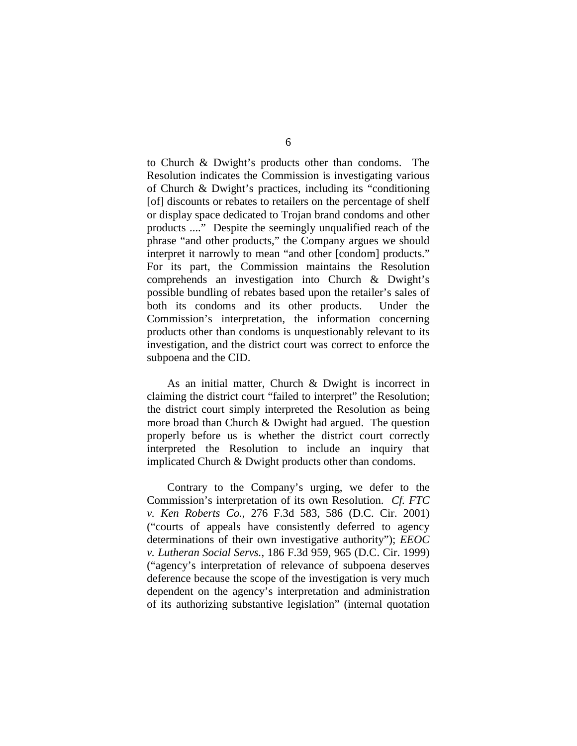to Church & Dwight's products other than condoms. The Resolution indicates the Commission is investigating various of Church & Dwight's practices, including its "conditioning [of] discounts or rebates to retailers on the percentage of shelf or display space dedicated to Trojan brand condoms and other products ...." Despite the seemingly unqualified reach of the phrase "and other products," the Company argues we should interpret it narrowly to mean "and other [condom] products." For its part, the Commission maintains the Resolution comprehends an investigation into Church & Dwight's possible bundling of rebates based upon the retailer's sales of both its condoms and its other products. Under the Commission's interpretation, the information concerning products other than condoms is unquestionably relevant to its investigation, and the district court was correct to enforce the subpoena and the CID.

As an initial matter, Church & Dwight is incorrect in claiming the district court "failed to interpret" the Resolution; the district court simply interpreted the Resolution as being more broad than Church & Dwight had argued. The question properly before us is whether the district court correctly interpreted the Resolution to include an inquiry that implicated Church & Dwight products other than condoms.

Contrary to the Company's urging, we defer to the Commission's interpretation of its own Resolution. *Cf. FTC v. Ken Roberts Co.*, 276 F.3d 583, 586 (D.C. Cir. 2001) ("courts of appeals have consistently deferred to agency determinations of their own investigative authority"); *EEOC v. Lutheran Social Servs.*, 186 F.3d 959, 965 (D.C. Cir. 1999) ("agency's interpretation of relevance of subpoena deserves deference because the scope of the investigation is very much dependent on the agency's interpretation and administration of its authorizing substantive legislation" (internal quotation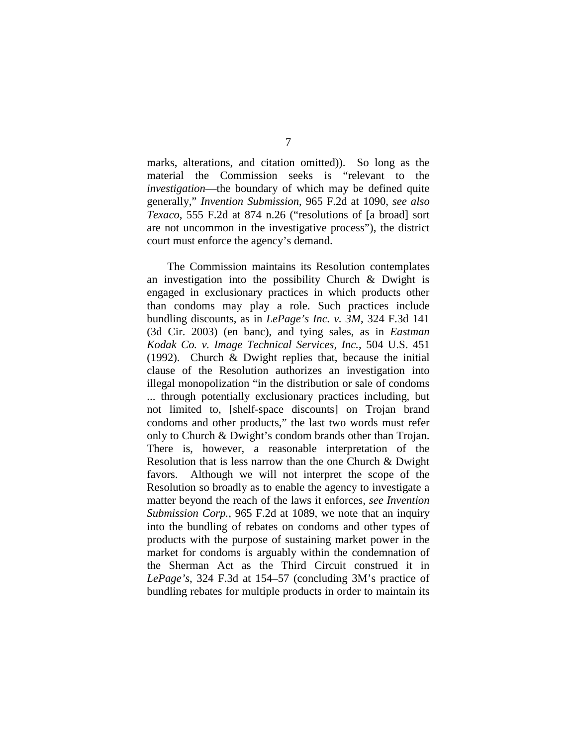marks, alterations, and citation omitted)). So long as the material the Commission seeks is "relevant to the *investigation*—the boundary of which may be defined quite generally," *Invention Submission*, 965 F.2d at 1090, *see also Texaco*, 555 F.2d at 874 n.26 ("resolutions of [a broad] sort are not uncommon in the investigative process"), the district court must enforce the agency's demand.

The Commission maintains its Resolution contemplates an investigation into the possibility Church & Dwight is engaged in exclusionary practices in which products other than condoms may play a role. Such practices include bundling discounts, as in *LePage's Inc. v. 3M*, 324 F.3d 141 (3d Cir. 2003) (en banc), and tying sales, as in *Eastman Kodak Co. v. Image Technical Services, Inc.*, 504 U.S. 451 (1992). Church & Dwight replies that, because the initial clause of the Resolution authorizes an investigation into illegal monopolization "in the distribution or sale of condoms ... through potentially exclusionary practices including, but not limited to, [shelf-space discounts] on Trojan brand condoms and other products," the last two words must refer only to Church & Dwight's condom brands other than Trojan. There is, however, a reasonable interpretation of the Resolution that is less narrow than the one Church & Dwight favors. Although we will not interpret the scope of the Resolution so broadly as to enable the agency to investigate a matter beyond the reach of the laws it enforces, *see Invention Submission Corp.*, 965 F.2d at 1089, we note that an inquiry into the bundling of rebates on condoms and other types of products with the purpose of sustaining market power in the market for condoms is arguably within the condemnation of the Sherman Act as the Third Circuit construed it in *LePage's*, 324 F.3d at 154**–**57 (concluding 3M's practice of bundling rebates for multiple products in order to maintain its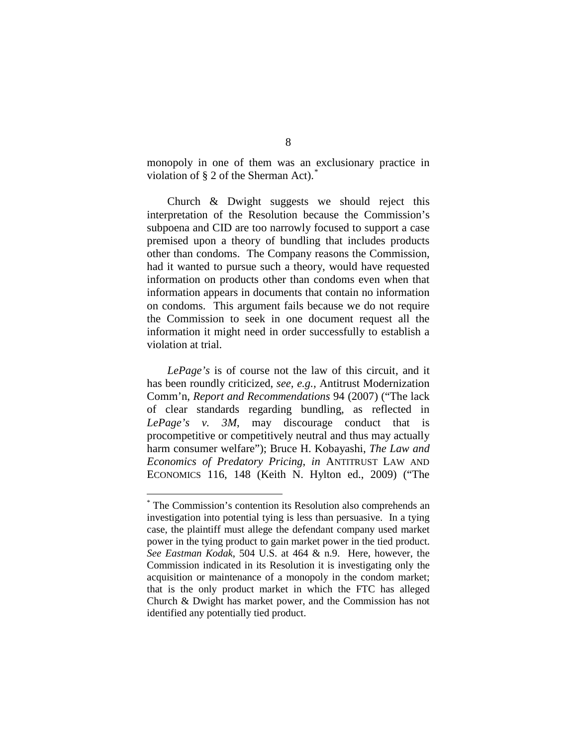monopoly in one of them was an exclusionary practice in violation of  $\S 2$  of the Sherman Act).

Church & Dwight suggests we should reject this interpretation of the Resolution because the Commission's subpoena and CID are too narrowly focused to support a case premised upon a theory of bundling that includes products other than condoms. The Company reasons the Commission, had it wanted to pursue such a theory, would have requested information on products other than condoms even when that information appears in documents that contain no information on condoms. This argument fails because we do not require the Commission to seek in one document request all the information it might need in order successfully to establish a violation at trial.

*LePage's* is of course not the law of this circuit, and it has been roundly criticized, *see, e.g.,* Antitrust Modernization Comm'n, *Report and Recommendations* 94 (2007) ("The lack of clear standards regarding bundling, as reflected in *LePage's v. 3M*, may discourage conduct that is procompetitive or competitively neutral and thus may actually harm consumer welfare"); Bruce H. Kobayashi, *The Law and Economics of Predatory Pricing*, *in* ANTITRUST LAW AND ECONOMICS 116, 148 (Keith N. Hylton ed., 2009) ("The

<span id="page-7-0"></span>The Commission's contention its Resolution also comprehends an investigation into potential tying is less than persuasive. In a tying case, the plaintiff must allege the defendant company used market power in the tying product to gain market power in the tied product. *See Eastman Kodak*, 504 U.S. at 464 & n.9. Here, however, the Commission indicated in its Resolution it is investigating only the acquisition or maintenance of a monopoly in the condom market; that is the only product market in which the FTC has alleged Church & Dwight has market power, and the Commission has not identified any potentially tied product.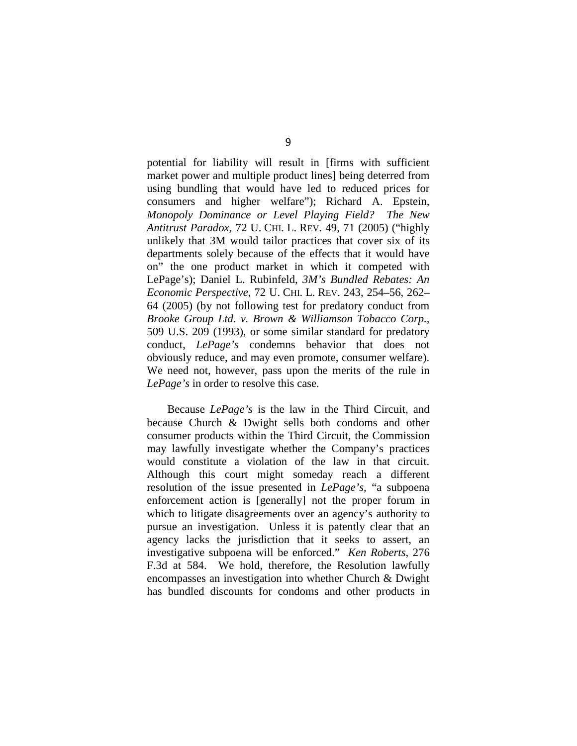potential for liability will result in [firms with sufficient market power and multiple product lines] being deterred from using bundling that would have led to reduced prices for consumers and higher welfare"); Richard A. Epstein, *Monopoly Dominance or Level Playing Field? The New Antitrust Paradox*, 72 U. CHI. L. REV. 49, 71 (2005) ("highly unlikely that 3M would tailor practices that cover six of its departments solely because of the effects that it would have on" the one product market in which it competed with LePage's); Daniel L. Rubinfeld, *3M's Bundled Rebates: An Economic Perspective*, 72 U. CHI. L. REV. 243, 254**–**56, 262**–** 64 (2005) (by not following test for predatory conduct from *Brooke Group Ltd. v. Brown & Williamson Tobacco Corp.*, 509 U.S. 209 (1993), or some similar standard for predatory conduct, *LePage's* condemns behavior that does not obviously reduce, and may even promote, consumer welfare). We need not, however, pass upon the merits of the rule in *LePage's* in order to resolve this case.

Because *LePage's* is the law in the Third Circuit, and because Church & Dwight sells both condoms and other consumer products within the Third Circuit, the Commission may lawfully investigate whether the Company's practices would constitute a violation of the law in that circuit. Although this court might someday reach a different resolution of the issue presented in *LePage's*, "a subpoena enforcement action is [generally] not the proper forum in which to litigate disagreements over an agency's authority to pursue an investigation. Unless it is patently clear that an agency lacks the jurisdiction that it seeks to assert, an investigative subpoena will be enforced." *Ken Roberts*, 276 F.3d at 584. We hold, therefore, the Resolution lawfully encompasses an investigation into whether Church & Dwight has bundled discounts for condoms and other products in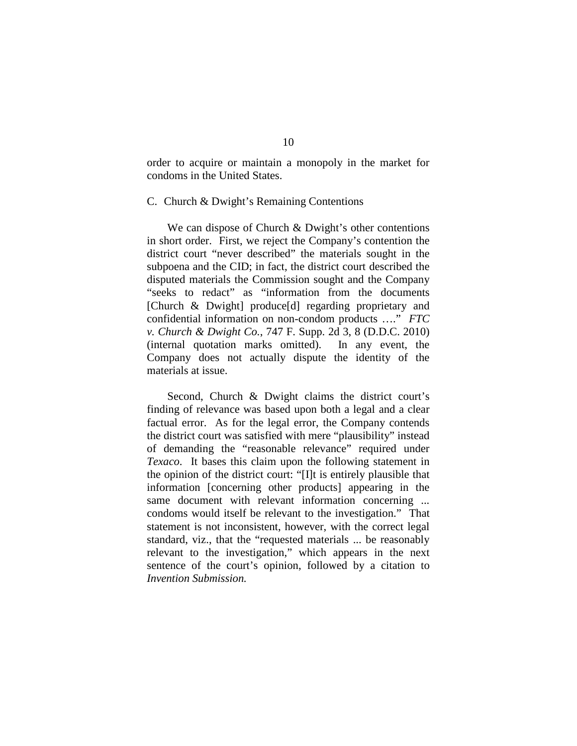order to acquire or maintain a monopoly in the market for condoms in the United States.

### C. Church & Dwight's Remaining Contentions

We can dispose of Church & Dwight's other contentions in short order. First, we reject the Company's contention the district court "never described" the materials sought in the subpoena and the CID; in fact, the district court described the disputed materials the Commission sought and the Company "seeks to redact" as "information from the documents [Church & Dwight] produce[d] regarding proprietary and confidential information on non-condom products …." *FTC v. Church & Dwight Co.*, 747 F. Supp. 2d 3, 8 (D.D.C. 2010) (internal quotation marks omitted). In any event, the Company does not actually dispute the identity of the materials at issue.

Second, Church & Dwight claims the district court's finding of relevance was based upon both a legal and a clear factual error. As for the legal error, the Company contends the district court was satisfied with mere "plausibility" instead of demanding the "reasonable relevance" required under *Texaco*. It bases this claim upon the following statement in the opinion of the district court: "[I]t is entirely plausible that information [concerning other products] appearing in the same document with relevant information concerning ... condoms would itself be relevant to the investigation." That statement is not inconsistent, however, with the correct legal standard, viz., that the "requested materials ... be reasonably relevant to the investigation," which appears in the next sentence of the court's opinion, followed by a citation to *Invention Submission.*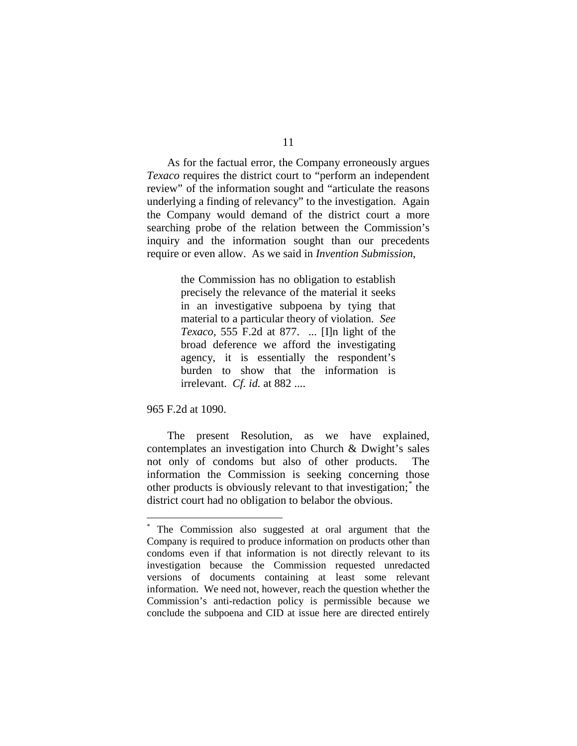As for the factual error, the Company erroneously argues *Texaco* requires the district court to "perform an independent review" of the information sought and "articulate the reasons underlying a finding of relevancy" to the investigation. Again the Company would demand of the district court a more searching probe of the relation between the Commission's inquiry and the information sought than our precedents require or even allow. As we said in *Invention Submission*,

> the Commission has no obligation to establish precisely the relevance of the material it seeks in an investigative subpoena by tying that material to a particular theory of violation. *See Texaco*, 555 F.2d at 877. ... [I]n light of the broad deference we afford the investigating agency, it is essentially the respondent's burden to show that the information is irrelevant. *Cf. id.* at 882 ....

965 F.2d at 1090.

The present Resolution, as we have explained, contemplates an investigation into Church & Dwight's sales not only of condoms but also of other products. The information the Commission is seeking concerning those other products is obviously relevant to that investigation;[\\*](#page-10-0) the district court had no obligation to belabor the obvious.

<span id="page-10-0"></span> <sup>\*</sup> The Commission also suggested at oral argument that the Company is required to produce information on products other than condoms even if that information is not directly relevant to its investigation because the Commission requested unredacted versions of documents containing at least some relevant information. We need not, however, reach the question whether the Commission's anti-redaction policy is permissible because we conclude the subpoena and CID at issue here are directed entirely